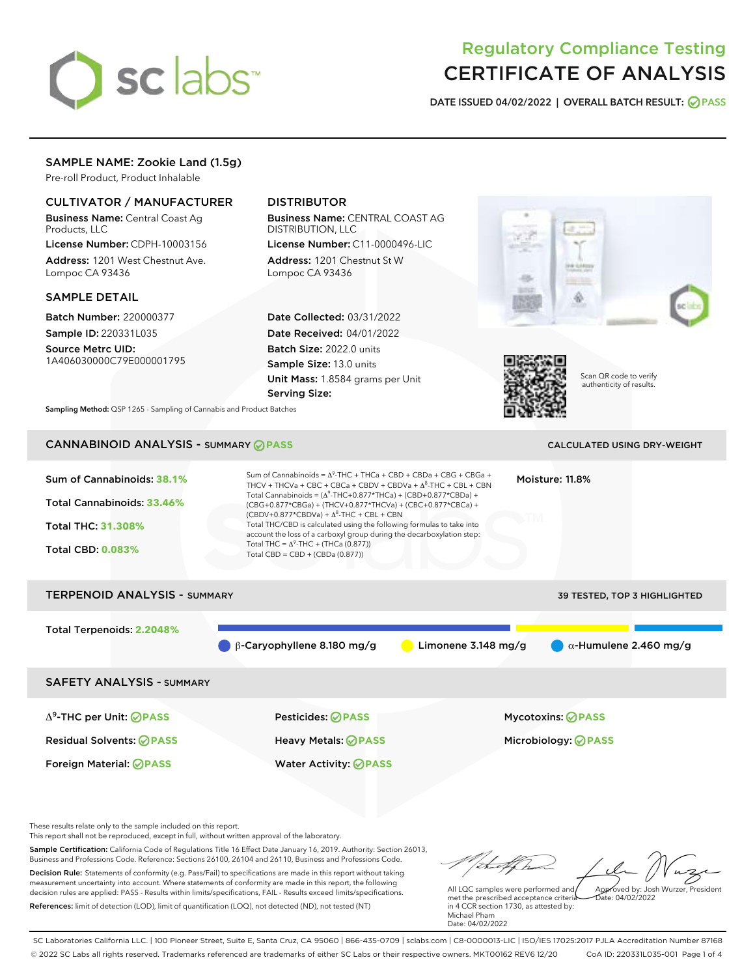# sclabs<sup>\*</sup>

# Regulatory Compliance Testing CERTIFICATE OF ANALYSIS

DATE ISSUED 04/02/2022 | OVERALL BATCH RESULT: @ PASS

# SAMPLE NAME: Zookie Land (1.5g)

Pre-roll Product, Product Inhalable

# CULTIVATOR / MANUFACTURER

Business Name: Central Coast Ag Products, LLC

License Number: CDPH-10003156 Address: 1201 West Chestnut Ave. Lompoc CA 93436

#### SAMPLE DETAIL

Batch Number: 220000377 Sample ID: 220331L035

Source Metrc UID: 1A406030000C79E000001795

# DISTRIBUTOR

Business Name: CENTRAL COAST AG DISTRIBUTION, LLC

License Number: C11-0000496-LIC Address: 1201 Chestnut St W Lompoc CA 93436

Date Collected: 03/31/2022 Date Received: 04/01/2022 Batch Size: 2022.0 units Sample Size: 13.0 units Unit Mass: 1.8584 grams per Unit Serving Size:





Scan QR code to verify authenticity of results.

Sampling Method: QSP 1265 - Sampling of Cannabis and Product Batches

# CANNABINOID ANALYSIS - SUMMARY **PASS** CALCULATED USING DRY-WEIGHT

| Sum of Cannabinoids: 38.1%<br>Total Cannabinoids: 33.46%<br><b>Total THC: 31.308%</b><br><b>Total CBD: 0.083%</b> | $(CBDV+0.877*CBDVa) + \Delta^8$ -THC + CBL + CBN<br>Total THC = $\Delta^9$ -THC + (THCa (0.877))<br>Total CBD = CBD + (CBDa (0.877)) | Sum of Cannabinoids = $A^9$ -THC + THCa + CBD + CBDa + CBG + CBGa +<br>Moisture: 11.8%<br>THCV + THCVa + CBC + CBCa + CBDV + CBDVa + $\Delta^8$ -THC + CBL + CBN<br>Total Cannabinoids = $(\Delta^9$ -THC+0.877*THCa) + (CBD+0.877*CBDa) +<br>(CBG+0.877*CBGa) + (THCV+0.877*THCVa) + (CBC+0.877*CBCa) +<br>Total THC/CBD is calculated using the following formulas to take into<br>account the loss of a carboxyl group during the decarboxylation step: |                                                        |  |  |  |
|-------------------------------------------------------------------------------------------------------------------|--------------------------------------------------------------------------------------------------------------------------------------|------------------------------------------------------------------------------------------------------------------------------------------------------------------------------------------------------------------------------------------------------------------------------------------------------------------------------------------------------------------------------------------------------------------------------------------------------------|--------------------------------------------------------|--|--|--|
| <b>TERPENOID ANALYSIS - SUMMARY</b>                                                                               |                                                                                                                                      |                                                                                                                                                                                                                                                                                                                                                                                                                                                            | <b>39 TESTED, TOP 3 HIGHLIGHTED</b>                    |  |  |  |
| Total Terpenoids: 2.2048%                                                                                         | $\beta$ -Caryophyllene 8.180 mg/g                                                                                                    | Limonene $3.148$ mg/g                                                                                                                                                                                                                                                                                                                                                                                                                                      | $\alpha$ -Humulene 2.460 mg/g                          |  |  |  |
| <b>SAFETY ANALYSIS - SUMMARY</b>                                                                                  |                                                                                                                                      |                                                                                                                                                                                                                                                                                                                                                                                                                                                            |                                                        |  |  |  |
| $\Delta^9$ -THC per Unit: <b>PASS</b><br><b>Residual Solvents: ⊘ PASS</b><br><b>Foreign Material: ⊘PASS</b>       | Pesticides: ⊘PASS<br>Heavy Metals: <b>OPASS</b><br><b>Water Activity: ⊘PASS</b>                                                      |                                                                                                                                                                                                                                                                                                                                                                                                                                                            | <b>Mycotoxins: ⊘PASS</b><br>Microbiology: <b>OPASS</b> |  |  |  |

These results relate only to the sample included on this report.

This report shall not be reproduced, except in full, without written approval of the laboratory.

Sample Certification: California Code of Regulations Title 16 Effect Date January 16, 2019. Authority: Section 26013, Business and Professions Code. Reference: Sections 26100, 26104 and 26110, Business and Professions Code. Decision Rule: Statements of conformity (e.g. Pass/Fail) to specifications are made in this report without taking measurement uncertainty into account. Where statements of conformity are made in this report, the following decision rules are applied: PASS - Results within limits/specifications, FAIL - Results exceed limits/specifications.

References: limit of detection (LOD), limit of quantification (LOQ), not detected (ND), not tested (NT)

Approved by: Josh Wurzer, President

 $hat: 04/02/2022$ 

All LQC samples were performed and met the prescribed acceptance criteria in 4 CCR section 1730, as attested by: Michael Pham Date: 04/02/2022

SC Laboratories California LLC. | 100 Pioneer Street, Suite E, Santa Cruz, CA 95060 | 866-435-0709 | sclabs.com | C8-0000013-LIC | ISO/IES 17025:2017 PJLA Accreditation Number 87168 © 2022 SC Labs all rights reserved. Trademarks referenced are trademarks of either SC Labs or their respective owners. MKT00162 REV6 12/20 CoA ID: 220331L035-001 Page 1 of 4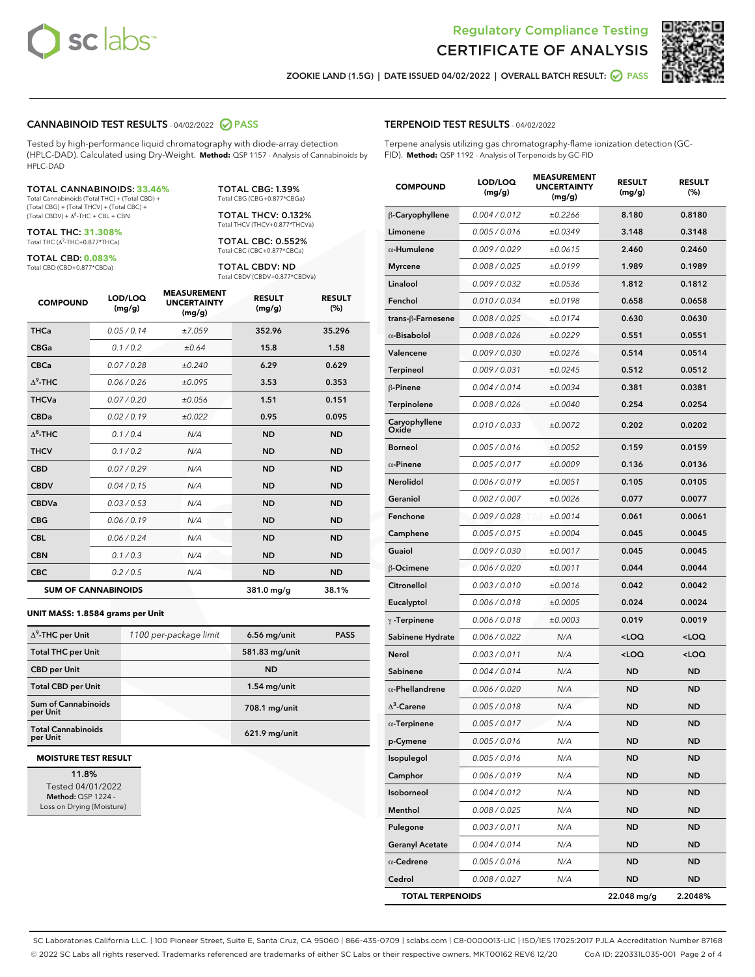



ZOOKIE LAND (1.5G) | DATE ISSUED 04/02/2022 | OVERALL BATCH RESULT: **⊘** PASS

#### CANNABINOID TEST RESULTS - 04/02/2022 2 PASS

Tested by high-performance liquid chromatography with diode-array detection (HPLC-DAD). Calculated using Dry-Weight. **Method:** QSP 1157 - Analysis of Cannabinoids by HPLC-DAD

#### TOTAL CANNABINOIDS: **33.46%**

Total Cannabinoids (Total THC) + (Total CBD) + (Total CBG) + (Total THCV) + (Total CBC) +  $(Total$  CBDV) +  $\Delta$ <sup>8</sup>-THC + CBL + CBN

TOTAL THC: **31.308%** Total THC (Δ<sup>9</sup> -THC+0.877\*THCa)

TOTAL CBD: **0.083%** Total CBD (CBD+0.877\*CBDa)

TOTAL CBG: 1.39% Total CBG (CBG+0.877\*CBGa)

TOTAL THCV: 0.132% Total THCV (THCV+0.877\*THCVa)

TOTAL CBC: 0.552% Total CBC (CBC+0.877\*CBCa)

TOTAL CBDV: ND Total CBDV (CBDV+0.877\*CBDVa)

| <b>COMPOUND</b>  | LOD/LOO<br>(mg/g)          | <b>MEASUREMENT</b><br><b>UNCERTAINTY</b><br>(mg/g) | <b>RESULT</b><br>(mg/g) | <b>RESULT</b><br>(%) |
|------------------|----------------------------|----------------------------------------------------|-------------------------|----------------------|
| <b>THCa</b>      | 0.05 / 0.14                | ±7.059                                             | 352.96                  | 35.296               |
| <b>CBGa</b>      | 0.1 / 0.2                  | ±0.64                                              | 15.8                    | 1.58                 |
| <b>CBCa</b>      | 0.07 / 0.28                | ±0.240                                             | 6.29                    | 0.629                |
| $\Delta^9$ -THC  | 0.06 / 0.26                | ±0.095                                             | 3.53                    | 0.353                |
| <b>THCVa</b>     | 0.07/0.20                  | ±0.056                                             | 1.51                    | 0.151                |
| <b>CBDa</b>      | 0.02/0.19                  | ±0.022                                             | 0.95                    | 0.095                |
| $\Lambda^8$ -THC | 0.1 / 0.4                  | N/A                                                | <b>ND</b>               | <b>ND</b>            |
| <b>THCV</b>      | 0.1/0.2                    | N/A                                                | <b>ND</b>               | <b>ND</b>            |
| <b>CBD</b>       | 0.07/0.29                  | N/A                                                | <b>ND</b>               | <b>ND</b>            |
| <b>CBDV</b>      | 0.04 / 0.15                | N/A                                                | <b>ND</b>               | <b>ND</b>            |
| <b>CBDVa</b>     | 0.03/0.53                  | N/A                                                | <b>ND</b>               | <b>ND</b>            |
| <b>CBG</b>       | 0.06/0.19                  | N/A                                                | <b>ND</b>               | <b>ND</b>            |
| <b>CBL</b>       | 0.06 / 0.24                | N/A                                                | <b>ND</b>               | <b>ND</b>            |
| <b>CBN</b>       | 0.1/0.3                    | N/A                                                | <b>ND</b>               | <b>ND</b>            |
| <b>CBC</b>       | 0.2 / 0.5                  | N/A                                                | <b>ND</b>               | <b>ND</b>            |
|                  | <b>SUM OF CANNABINOIDS</b> |                                                    | 381.0 mg/g              | 38.1%                |

#### **UNIT MASS: 1.8584 grams per Unit**

| $\Delta^9$ -THC per Unit               | 1100 per-package limit | $6.56$ mg/unit  | <b>PASS</b> |
|----------------------------------------|------------------------|-----------------|-------------|
| <b>Total THC per Unit</b>              |                        | 581.83 mg/unit  |             |
| <b>CBD per Unit</b>                    |                        | <b>ND</b>       |             |
| <b>Total CBD per Unit</b>              |                        | $1.54$ mg/unit  |             |
| <b>Sum of Cannabinoids</b><br>per Unit |                        | 708.1 mg/unit   |             |
| <b>Total Cannabinoids</b><br>per Unit  |                        | $621.9$ mg/unit |             |

#### **MOISTURE TEST RESULT**

11.8% Tested 04/01/2022 Method: QSP 1224 - Loss on Drying (Moisture)

| <b>TERPENOID TEST RESULTS - 04/02/2022</b> |
|--------------------------------------------|
|--------------------------------------------|

Terpene analysis utilizing gas chromatography-flame ionization detection (GC-FID). **Method:** QSP 1192 - Analysis of Terpenoids by GC-FID

| <b>COMPOUND</b>         | LOD/LOQ<br>(mg/g) | <b>MEASUREMENT</b><br><b>UNCERTAINTY</b><br>(mq/q) | <b>RESULT</b><br>(mg/g)                         | <b>RESULT</b><br>(%) |
|-------------------------|-------------------|----------------------------------------------------|-------------------------------------------------|----------------------|
| β-Caryophyllene         | 0.004 / 0.012     | ±0.2266                                            | 8.180                                           | 0.8180               |
| Limonene                | 0.005 / 0.016     | ±0.0349                                            | 3.148                                           | 0.3148               |
| $\alpha$ -Humulene      | 0.009/0.029       | ±0.0615                                            | 2.460                                           | 0.2460               |
| <b>Myrcene</b>          | 0.008 / 0.025     | ±0.0199                                            | 1.989                                           | 0.1989               |
| Linalool                | 0.009 / 0.032     | ±0.0536                                            | 1.812                                           | 0.1812               |
| Fenchol                 | 0.010 / 0.034     | ±0.0198                                            | 0.658                                           | 0.0658               |
| trans-ß-Farnesene       | 0.008 / 0.025     | ±0.0174                                            | 0.630                                           | 0.0630               |
| $\alpha$ -Bisabolol     | 0.008 / 0.026     | ±0.0229                                            | 0.551                                           | 0.0551               |
| Valencene               | 0.009 / 0.030     | ±0.0276                                            | 0.514                                           | 0.0514               |
| <b>Terpineol</b>        | 0.009 / 0.031     | ±0.0245                                            | 0.512                                           | 0.0512               |
| $\beta$ -Pinene         | 0.004 / 0.014     | ±0.0034                                            | 0.381                                           | 0.0381               |
| <b>Terpinolene</b>      | 0.008 / 0.026     | ±0.0040                                            | 0.254                                           | 0.0254               |
| Caryophyllene<br>Oxide  | 0.010 / 0.033     | ±0.0072                                            | 0.202                                           | 0.0202               |
| Borneol                 | 0.005 / 0.016     | ±0.0052                                            | 0.159                                           | 0.0159               |
| $\alpha$ -Pinene        | 0.005 / 0.017     | ±0.0009                                            | 0.136                                           | 0.0136               |
| Nerolidol               | 0.006 / 0.019     | ±0.0051                                            | 0.105                                           | 0.0105               |
| Geraniol                | 0.002 / 0.007     | ±0.0026                                            | 0.077                                           | 0.0077               |
| Fenchone                | 0.009 / 0.028     | ±0.0014                                            | 0.061                                           | 0.0061               |
| Camphene                | 0.005 / 0.015     | ±0.0004                                            | 0.045                                           | 0.0045               |
| Guaiol                  | 0.009 / 0.030     | ±0.0017                                            | 0.045                                           | 0.0045               |
| β-Ocimene               | 0.006 / 0.020     | ±0.0011                                            | 0.044                                           | 0.0044               |
| Citronellol             | 0.003 / 0.010     | ±0.0016                                            | 0.042                                           | 0.0042               |
| Eucalyptol              | 0.006 / 0.018     | ±0.0005                                            | 0.024                                           | 0.0024               |
| $\gamma$ -Terpinene     | 0.006 / 0.018     | ±0.0003                                            | 0.019                                           | 0.0019               |
| Sabinene Hydrate        | 0.006 / 0.022     | N/A                                                | <loq< th=""><th><loq< th=""></loq<></th></loq<> | <loq< th=""></loq<>  |
| Nerol                   | 0.003 / 0.011     | N/A                                                | <loq< th=""><th><loq< th=""></loq<></th></loq<> | <loq< th=""></loq<>  |
| Sabinene                | 0.004 / 0.014     | N/A                                                | <b>ND</b>                                       | <b>ND</b>            |
| $\alpha$ -Phellandrene  | 0.006 / 0.020     | N/A                                                | <b>ND</b>                                       | <b>ND</b>            |
| $\Delta^3$ -Carene      | 0.005 / 0.018     | N/A                                                | <b>ND</b>                                       | ND                   |
| $\alpha$ -Terpinene     | 0.005 / 0.017     | N/A                                                | <b>ND</b>                                       | ND                   |
| p-Cymene                | 0.005 / 0.016     | N/A                                                | <b>ND</b>                                       | <b>ND</b>            |
| Isopulegol              | 0.005 / 0.016     | N/A                                                | ND                                              | ND                   |
| Camphor                 | 0.006 / 0.019     | N/A                                                | <b>ND</b>                                       | <b>ND</b>            |
| Isoborneol              | 0.004 / 0.012     | N/A                                                | <b>ND</b>                                       | <b>ND</b>            |
| Menthol                 | 0.008 / 0.025     | N/A                                                | <b>ND</b>                                       | ND                   |
| Pulegone                | 0.003 / 0.011     | N/A                                                | <b>ND</b>                                       | ND                   |
| <b>Geranyl Acetate</b>  | 0.004 / 0.014     | N/A                                                | <b>ND</b>                                       | <b>ND</b>            |
| $\alpha$ -Cedrene       | 0.005 / 0.016     | N/A                                                | ND                                              | ND                   |
| Cedrol                  | 0.008 / 0.027     | N/A                                                | <b>ND</b>                                       | <b>ND</b>            |
| <b>TOTAL TERPENOIDS</b> |                   |                                                    | 22.048 mg/g                                     | 2.2048%              |

SC Laboratories California LLC. | 100 Pioneer Street, Suite E, Santa Cruz, CA 95060 | 866-435-0709 | sclabs.com | C8-0000013-LIC | ISO/IES 17025:2017 PJLA Accreditation Number 87168 © 2022 SC Labs all rights reserved. Trademarks referenced are trademarks of either SC Labs or their respective owners. MKT00162 REV6 12/20 CoA ID: 220331L035-001 Page 2 of 4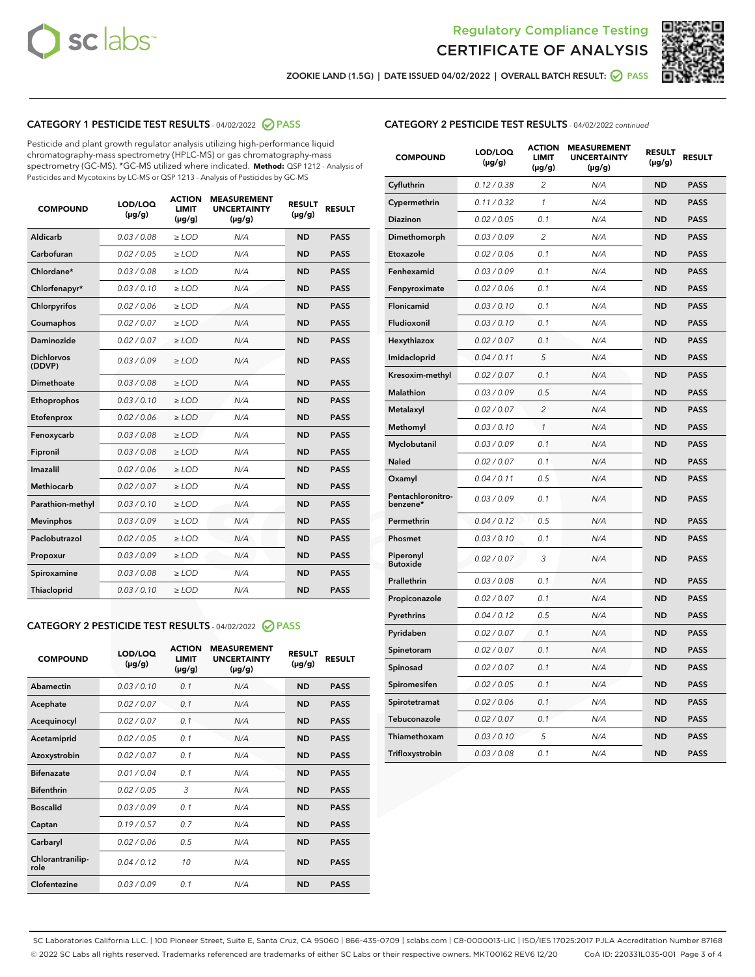



ZOOKIE LAND (1.5G) | DATE ISSUED 04/02/2022 | OVERALL BATCH RESULT: @ PASS

# CATEGORY 1 PESTICIDE TEST RESULTS - 04/02/2022 2 PASS

Pesticide and plant growth regulator analysis utilizing high-performance liquid chromatography-mass spectrometry (HPLC-MS) or gas chromatography-mass spectrometry (GC-MS). \*GC-MS utilized where indicated. **Method:** QSP 1212 - Analysis of Pesticides and Mycotoxins by LC-MS or QSP 1213 - Analysis of Pesticides by GC-MS

| 0.03 / 0.08<br>Aldicarb<br>$\ge$ LOD<br>N/A<br><b>ND</b><br>Carbofuran<br>0.02/0.05<br>$>$ LOD<br>N/A<br><b>ND</b> | <b>PASS</b><br><b>PASS</b> |
|--------------------------------------------------------------------------------------------------------------------|----------------------------|
|                                                                                                                    |                            |
|                                                                                                                    |                            |
| Chlordane*<br>0.03 / 0.08<br>N/A<br><b>ND</b><br>$\ge$ LOD                                                         | <b>PASS</b>                |
| 0.03/0.10<br><b>ND</b><br>Chlorfenapyr*<br>$\ge$ LOD<br>N/A                                                        | <b>PASS</b>                |
| 0.02/0.06<br>N/A<br><b>ND</b><br>Chlorpyrifos<br>$\ge$ LOD                                                         | <b>PASS</b>                |
| Coumaphos<br>0.02 / 0.07<br>$\geq$ LOD<br>N/A<br><b>ND</b>                                                         | <b>PASS</b>                |
| Daminozide<br>0.02 / 0.07<br>$>$ LOD<br>N/A<br><b>ND</b>                                                           | <b>PASS</b>                |
| <b>Dichlorvos</b><br>0.03 / 0.09<br>N/A<br>$\ge$ LOD<br><b>ND</b><br>(DDVP)                                        | <b>PASS</b>                |
| Dimethoate<br>0.03/0.08<br>N/A<br><b>ND</b><br>$>$ LOD                                                             | <b>PASS</b>                |
| 0.03/0.10<br><b>ND</b><br>Ethoprophos<br>$>$ LOD<br>N/A                                                            | <b>PASS</b>                |
| 0.02 / 0.06<br>N/A<br><b>ND</b><br>Etofenprox<br>$\ge$ LOD                                                         | <b>PASS</b>                |
| 0.03 / 0.08<br>N/A<br><b>ND</b><br>Fenoxycarb<br>$\ge$ LOD                                                         | <b>PASS</b>                |
| 0.03 / 0.08<br>$\ge$ LOD<br>N/A<br><b>ND</b><br>Fipronil                                                           | <b>PASS</b>                |
| Imazalil<br>0.02 / 0.06<br>$>$ LOD<br>N/A<br><b>ND</b>                                                             | <b>PASS</b>                |
| <b>Methiocarb</b><br>0.02 / 0.07<br>$\ge$ LOD<br>N/A<br><b>ND</b>                                                  | <b>PASS</b>                |
| N/A<br><b>ND</b><br>Parathion-methyl<br>0.03/0.10<br>$\ge$ LOD                                                     | <b>PASS</b>                |
| 0.03/0.09<br>$\ge$ LOD<br>N/A<br><b>ND</b><br><b>Mevinphos</b>                                                     | <b>PASS</b>                |
| Paclobutrazol<br>0.02 / 0.05<br>$\ge$ LOD<br>N/A<br><b>ND</b>                                                      | <b>PASS</b>                |
| 0.03/0.09<br>$>$ LOD<br>N/A<br><b>ND</b><br>Propoxur                                                               | <b>PASS</b>                |
| 0.03 / 0.08<br>N/A<br><b>ND</b><br>Spiroxamine<br>$\ge$ LOD                                                        | <b>PASS</b>                |
| <b>ND</b><br>Thiacloprid<br>0.03/0.10<br>$>$ LOD<br>N/A                                                            | <b>PASS</b>                |

# CATEGORY 2 PESTICIDE TEST RESULTS - 04/02/2022 @ PASS

| <b>COMPOUND</b>          | LOD/LOQ<br>$(\mu g/g)$ | <b>ACTION</b><br><b>LIMIT</b><br>$(\mu g/g)$ | <b>MEASUREMENT</b><br><b>UNCERTAINTY</b><br>$(\mu g/g)$ | <b>RESULT</b><br>$(\mu g/g)$ | <b>RESULT</b> |
|--------------------------|------------------------|----------------------------------------------|---------------------------------------------------------|------------------------------|---------------|
| Abamectin                | 0.03/0.10              | 0.1                                          | N/A                                                     | <b>ND</b>                    | <b>PASS</b>   |
| Acephate                 | 0.02/0.07              | 0.1                                          | N/A                                                     | <b>ND</b>                    | <b>PASS</b>   |
| Acequinocyl              | 0.02/0.07              | 0.1                                          | N/A                                                     | <b>ND</b>                    | <b>PASS</b>   |
| Acetamiprid              | 0.02/0.05              | 0.1                                          | N/A                                                     | <b>ND</b>                    | <b>PASS</b>   |
| Azoxystrobin             | 0.02 / 0.07            | 0.1                                          | N/A                                                     | <b>ND</b>                    | <b>PASS</b>   |
| <b>Bifenazate</b>        | 0.01/0.04              | 0.1                                          | N/A                                                     | <b>ND</b>                    | <b>PASS</b>   |
| <b>Bifenthrin</b>        | 0.02 / 0.05            | 3                                            | N/A                                                     | <b>ND</b>                    | <b>PASS</b>   |
| <b>Boscalid</b>          | 0.03/0.09              | 0.1                                          | N/A                                                     | <b>ND</b>                    | <b>PASS</b>   |
| Captan                   | 0.19/0.57              | 0.7                                          | N/A                                                     | <b>ND</b>                    | <b>PASS</b>   |
| Carbaryl                 | 0.02/0.06              | 0.5                                          | N/A                                                     | <b>ND</b>                    | <b>PASS</b>   |
| Chlorantranilip-<br>role | 0.04/0.12              | 10                                           | N/A                                                     | <b>ND</b>                    | <b>PASS</b>   |
| Clofentezine             | 0.03/0.09              | 0.1                                          | N/A                                                     | <b>ND</b>                    | <b>PASS</b>   |

## CATEGORY 2 PESTICIDE TEST RESULTS - 04/02/2022 continued

| <b>COMPOUND</b>               | LOD/LOQ<br>(µg/g) | <b>ACTION</b><br><b>LIMIT</b><br>(µg/g) | <b>MEASUREMENT</b><br><b>UNCERTAINTY</b><br>(µg/g) | <b>RESULT</b><br>(µg/g) | <b>RESULT</b> |
|-------------------------------|-------------------|-----------------------------------------|----------------------------------------------------|-------------------------|---------------|
| Cyfluthrin                    | 0.12 / 0.38       | $\overline{c}$                          | N/A                                                | <b>ND</b>               | <b>PASS</b>   |
| Cypermethrin                  | 0.11 / 0.32       | $\mathcal{I}$                           | N/A                                                | <b>ND</b>               | <b>PASS</b>   |
| <b>Diazinon</b>               | 0.02 / 0.05       | 0.1                                     | N/A                                                | <b>ND</b>               | <b>PASS</b>   |
| Dimethomorph                  | 0.03 / 0.09       | 2                                       | N/A                                                | <b>ND</b>               | <b>PASS</b>   |
| Etoxazole                     | 0.02 / 0.06       | 0.1                                     | N/A                                                | <b>ND</b>               | <b>PASS</b>   |
| Fenhexamid                    | 0.03 / 0.09       | 0.1                                     | N/A                                                | <b>ND</b>               | <b>PASS</b>   |
| Fenpyroximate                 | 0.02 / 0.06       | 0.1                                     | N/A                                                | <b>ND</b>               | <b>PASS</b>   |
| Flonicamid                    | 0.03 / 0.10       | 0.1                                     | N/A                                                | <b>ND</b>               | <b>PASS</b>   |
| Fludioxonil                   | 0.03 / 0.10       | 0.1                                     | N/A                                                | <b>ND</b>               | <b>PASS</b>   |
| Hexythiazox                   | 0.02 / 0.07       | 0.1                                     | N/A                                                | <b>ND</b>               | <b>PASS</b>   |
| Imidacloprid                  | 0.04 / 0.11       | 5                                       | N/A                                                | <b>ND</b>               | <b>PASS</b>   |
| Kresoxim-methyl               | 0.02 / 0.07       | 0.1                                     | N/A                                                | <b>ND</b>               | <b>PASS</b>   |
| <b>Malathion</b>              | 0.03 / 0.09       | 0.5                                     | N/A                                                | <b>ND</b>               | <b>PASS</b>   |
| Metalaxyl                     | 0.02 / 0.07       | $\overline{c}$                          | N/A                                                | <b>ND</b>               | <b>PASS</b>   |
| Methomyl                      | 0.03 / 0.10       | 1                                       | N/A                                                | <b>ND</b>               | <b>PASS</b>   |
| Myclobutanil                  | 0.03 / 0.09       | 0.1                                     | N/A                                                | <b>ND</b>               | <b>PASS</b>   |
| Naled                         | 0.02 / 0.07       | 0.1                                     | N/A                                                | <b>ND</b>               | <b>PASS</b>   |
| Oxamyl                        | 0.04 / 0.11       | 0.5                                     | N/A                                                | <b>ND</b>               | <b>PASS</b>   |
| Pentachloronitro-<br>benzene* | 0.03/0.09         | 0.1                                     | N/A                                                | <b>ND</b>               | <b>PASS</b>   |
| Permethrin                    | 0.04 / 0.12       | 0.5                                     | N/A                                                | <b>ND</b>               | <b>PASS</b>   |
| Phosmet                       | 0.03 / 0.10       | 0.1                                     | N/A                                                | <b>ND</b>               | <b>PASS</b>   |
| Piperonyl<br><b>Butoxide</b>  | 0.02 / 0.07       | 3                                       | N/A                                                | <b>ND</b>               | <b>PASS</b>   |
| Prallethrin                   | 0.03 / 0.08       | 0.1                                     | N/A                                                | <b>ND</b>               | <b>PASS</b>   |
| Propiconazole                 | 0.02 / 0.07       | 0.1                                     | N/A                                                | <b>ND</b>               | <b>PASS</b>   |
| Pyrethrins                    | 0.04 / 0.12       | 0.5                                     | N/A                                                | <b>ND</b>               | <b>PASS</b>   |
| Pyridaben                     | 0.02 / 0.07       | 0.1                                     | N/A                                                | <b>ND</b>               | <b>PASS</b>   |
| Spinetoram                    | 0.02 / 0.07       | 0.1                                     | N/A                                                | <b>ND</b>               | <b>PASS</b>   |
| Spinosad                      | 0.02 / 0.07       | 0.1                                     | N/A                                                | <b>ND</b>               | <b>PASS</b>   |
| Spiromesifen                  | 0.02 / 0.05       | 0.1                                     | N/A                                                | <b>ND</b>               | <b>PASS</b>   |
| Spirotetramat                 | 0.02 / 0.06       | 0.1                                     | N/A                                                | <b>ND</b>               | <b>PASS</b>   |
| Tebuconazole                  | 0.02 / 0.07       | 0.1                                     | N/A                                                | <b>ND</b>               | <b>PASS</b>   |
| Thiamethoxam                  | 0.03 / 0.10       | 5                                       | N/A                                                | <b>ND</b>               | <b>PASS</b>   |
| Trifloxystrobin               | 0.03 / 0.08       | 0.1                                     | N/A                                                | <b>ND</b>               | <b>PASS</b>   |

SC Laboratories California LLC. | 100 Pioneer Street, Suite E, Santa Cruz, CA 95060 | 866-435-0709 | sclabs.com | C8-0000013-LIC | ISO/IES 17025:2017 PJLA Accreditation Number 87168 © 2022 SC Labs all rights reserved. Trademarks referenced are trademarks of either SC Labs or their respective owners. MKT00162 REV6 12/20 CoA ID: 220331L035-001 Page 3 of 4